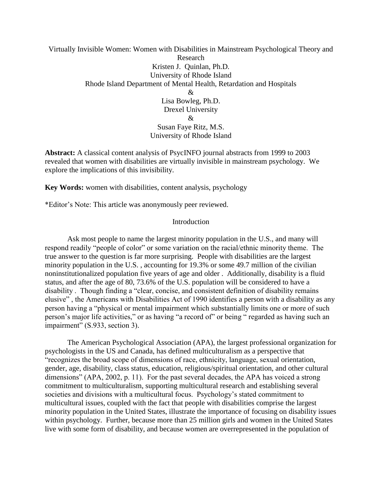Virtually Invisible Women: Women with Disabilities in Mainstream Psychological Theory and Research Kristen J. Quinlan, Ph.D. University of Rhode Island Rhode Island Department of Mental Health, Retardation and Hospitals & Lisa Bowleg, Ph.D. Drexel University & Susan Faye Ritz, M.S. University of Rhode Island

**Abstract:** A classical content analysis of PsycINFO journal abstracts from 1999 to 2003 revealed that women with disabilities are virtually invisible in mainstream psychology. We explore the implications of this invisibility.

**Key Words:** women with disabilities, content analysis, psychology

\*Editor's Note: This article was anonymously peer reviewed.

### **Introduction**

Ask most people to name the largest minority population in the U.S., and many will respond readily "people of color" or some variation on the racial/ethnic minority theme. The true answer to the question is far more surprising. People with disabilities are the largest minority population in the U.S. , accounting for 19.3% or some 49.7 million of the civilian noninstitutionalized population five years of age and older . Additionally, disability is a fluid status, and after the age of 80, 73.6% of the U.S. population will be considered to have a disability . Though finding a "clear, concise, and consistent definition of disability remains elusive" , the Americans with Disabilities Act of 1990 identifies a person with a disability as any person having a "physical or mental impairment which substantially limits one or more of such person's major life activities," or as having "a record of" or being " regarded as having such an impairment" (S.933, section 3).

The American Psychological Association (APA), the largest professional organization for psychologists in the US and Canada, has defined multiculturalism as a perspective that "recognizes the broad scope of dimensions of race, ethnicity, language, sexual orientation, gender, age, disability, class status, education, religious/spiritual orientation, and other cultural dimensions" (APA, 2002, p. 11). For the past several decades, the APA has voiced a strong commitment to multiculturalism, supporting multicultural research and establishing several societies and divisions with a multicultural focus. Psychology's stated commitment to multicultural issues, coupled with the fact that people with disabilities comprise the largest minority population in the United States, illustrate the importance of focusing on disability issues within psychology. Further, because more than 25 million girls and women in the United States live with some form of disability, and because women are overrepresented in the population of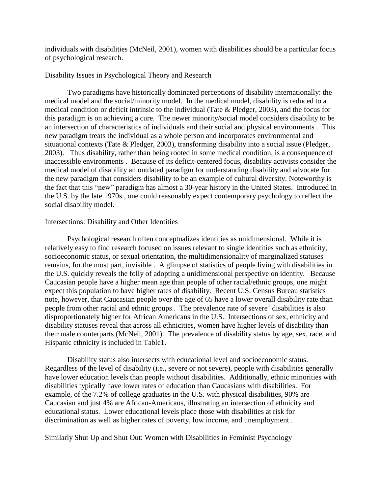individuals with disabilities (McNeil, 2001), women with disabilities should be a particular focus of psychological research.

### Disability Issues in Psychological Theory and Research

Two paradigms have historically dominated perceptions of disability internationally: the medical model and the social/minority model. In the medical model, disability is reduced to a medical condition or deficit intrinsic to the individual (Tate & Pledger, 2003), and the focus for this paradigm is on achieving a cure. The newer minority/social model considers disability to be an intersection of characteristics of individuals and their social and physical environments . This new paradigm treats the individual as a whole person and incorporates environmental and situational contexts (Tate & Pledger, 2003), transforming disability into a social issue (Pledger, 2003). Thus disability, rather than being rooted in some medical condition, is a consequence of inaccessible environments . Because of its deficit-centered focus, disability activists consider the medical model of disability an outdated paradigm for understanding disability and advocate for the new paradigm that considers disability to be an example of cultural diversity. Noteworthy is the fact that this "new" paradigm has almost a 30-year history in the United States. Introduced in the U.S. by the late 1970s , one could reasonably expect contemporary psychology to reflect the social disability model.

### Intersections: Disability and Other Identities

Psychological research often conceptualizes identities as unidimensional. While it is relatively easy to find research focused on issues relevant to single identities such as ethnicity, socioeconomic status, or sexual orientation, the multidimensionality of marginalized statuses remains, for the most part, invisible . A glimpse of statistics of people living with disabilities in the U.S. quickly reveals the folly of adopting a unidimensional perspective on identity. Because Caucasian people have a higher mean age than people of other racial/ethnic groups, one might expect this population to have higher rates of disability. Recent U.S. Census Bureau statistics note, however, that Caucasian people over the age of 65 have a lower overall disability rate than people from other racial and ethnic groups. The prevalence rate of severe<sup>1</sup> disabilities is also disproportionately higher for African Americans in the U.S. Intersections of sex, ethnicity and disability statuses reveal that across all ethnicities, women have higher levels of disability than their male counterparts (McNeil, 2001). The prevalence of disability status by age, sex, race, and Hispanic ethnicity is included in [Table1.](#page-13-0)

Disability status also intersects with educational level and socioeconomic status. Regardless of the level of disability (i.e., severe or not severe), people with disabilities generally have lower education levels than people without disabilities. Additionally, ethnic minorities with disabilities typically have lower rates of education than Caucasians with disabilities. For example, of the 7.2% of college graduates in the U.S. with physical disabilities, 90% are Caucasian and just 4% are African-Americans, illustrating an intersection of ethnicity and educational status. Lower educational levels place those with disabilities at risk for discrimination as well as higher rates of poverty, low income, and unemployment .

Similarly Shut Up and Shut Out: Women with Disabilities in Feminist Psychology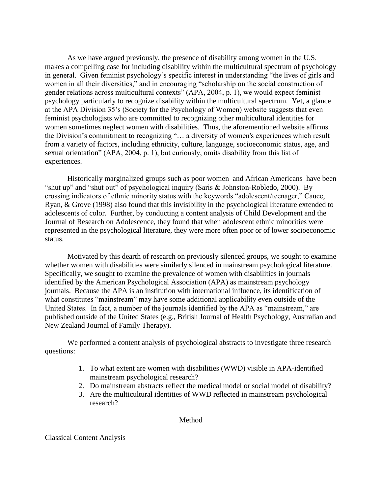As we have argued previously, the presence of disability among women in the U.S. makes a compelling case for including disability within the multicultural spectrum of psychology in general. Given feminist psychology's specific interest in understanding "the lives of girls and women in all their diversities," and in encouraging "scholarship on the social construction of gender relations across multicultural contexts" (APA, 2004, p. 1), we would expect feminist psychology particularly to recognize disability within the multicultural spectrum. Yet, a glance at the APA Division 35's (Society for the Psychology of Women) website suggests that even feminist psychologists who are committed to recognizing other multicultural identities for women sometimes neglect women with disabilities. Thus, the aforementioned website affirms the Division's commitment to recognizing "… a diversity of women's experiences which result from a variety of factors, including ethnicity, culture, language, socioeconomic status, age, and sexual orientation" (APA, 2004, p. 1), but curiously, omits disability from this list of experiences.

Historically marginalized groups such as poor women and African Americans have been "shut up" and "shut out" of psychological inquiry (Saris & Johnston-Robledo, 2000). By crossing indicators of ethnic minority status with the keywords "adolescent/teenager," Cauce, Ryan, & Grove (1998) also found that this invisibility in the psychological literature extended to adolescents of color. Further, by conducting a content analysis of Child Development and the Journal of Research on Adolescence, they found that when adolescent ethnic minorities were represented in the psychological literature, they were more often poor or of lower socioeconomic status.

Motivated by this dearth of research on previously silenced groups, we sought to examine whether women with disabilities were similarly silenced in mainstream psychological literature. Specifically, we sought to examine the prevalence of women with disabilities in journals identified by the American Psychological Association (APA) as mainstream psychology journals. Because the APA is an institution with international influence, its identification of what constitutes "mainstream" may have some additional applicability even outside of the United States. In fact, a number of the journals identified by the APA as "mainstream," are published outside of the United States (e.g., British Journal of Health Psychology, Australian and New Zealand Journal of Family Therapy).

We performed a content analysis of psychological abstracts to investigate three research questions:

- 1. To what extent are women with disabilities (WWD) visible in APA-identified mainstream psychological research?
- 2. Do mainstream abstracts reflect the medical model or social model of disability?
- 3. Are the multicultural identities of WWD reflected in mainstream psychological research?

## Method

## Classical Content Analysis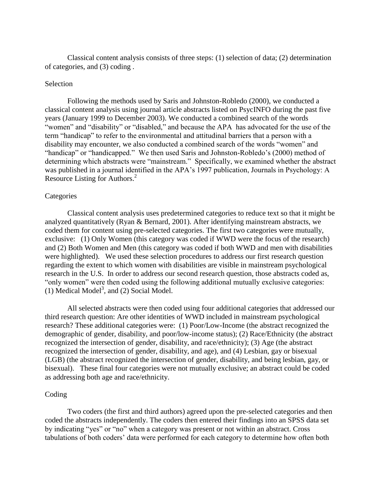Classical content analysis consists of three steps: (1) selection of data; (2) determination of categories, and (3) coding .

### **Selection**

Following the methods used by Saris and Johnston-Robledo (2000), we conducted a classical content analysis using journal article abstracts listed on PsycINFO during the past five years (January 1999 to December 2003). We conducted a combined search of the words "women" and "disability" or "disabled," and because the APA has advocated for the use of the term "handicap" to refer to the environmental and attitudinal barriers that a person with a disability may encounter, we also conducted a combined search of the words "women" and "handicap" or "handicapped." We then used Saris and Johnston-Robledo's (2000) method of determining which abstracts were "mainstream." Specifically, we examined whether the abstract was published in a journal identified in the APA's 1997 publication, Journals in Psychology: A Resource Listing for Authors.<sup>2</sup>

#### **Categories**

Classical content analysis uses predetermined categories to reduce text so that it might be analyzed quantitatively (Ryan & Bernard, 2001). After identifying mainstream abstracts, we coded them for content using pre-selected categories. The first two categories were mutually, exclusive: (1) Only Women (this category was coded if WWD were the focus of the research) and (2) Both Women and Men (this category was coded if both WWD and men with disabilities were highlighted). We used these selection procedures to address our first research question regarding the extent to which women with disabilities are visible in mainstream psychological research in the U.S. In order to address our second research question, those abstracts coded as, "only women" were then coded using the following additional mutually exclusive categories: (1) Medical Model<sup>3</sup>, and (2) Social Model.

All selected abstracts were then coded using four additional categories that addressed our third research question: Are other identities of WWD included in mainstream psychological research? These additional categories were: (1) Poor/Low-Income (the abstract recognized the demographic of gender, disability, and poor/low-income status); (2) Race/Ethnicity (the abstract recognized the intersection of gender, disability, and race/ethnicity); (3) Age (the abstract recognized the intersection of gender, disability, and age), and (4) Lesbian, gay or bisexual (LGB) (the abstract recognized the intersection of gender, disability, and being lesbian, gay, or bisexual). These final four categories were not mutually exclusive; an abstract could be coded as addressing both age and race/ethnicity.

#### Coding

Two coders (the first and third authors) agreed upon the pre-selected categories and then coded the abstracts independently. The coders then entered their findings into an SPSS data set by indicating "yes" or "no" when a category was present or not within an abstract. Cross tabulations of both coders' data were performed for each category to determine how often both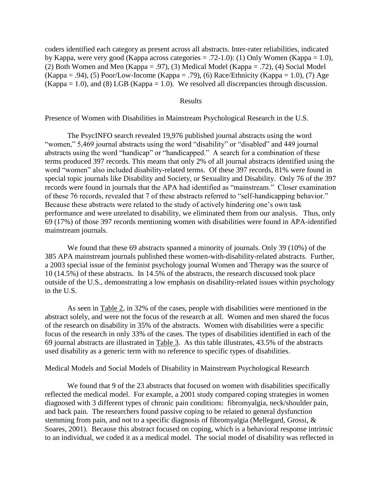coders identified each category as present across all abstracts. Inter-rater reliabilities, indicated by Kappa, were very good (Kappa across categories  $= .72-1.0$ ): (1) Only Women (Kappa  $= 1.0$ ), (2) Both Women and Men (Kappa = .97), (3) Medical Model (Kappa = .72), (4) Social Model (Kappa = .94), (5) Poor/Low-Income (Kappa = .79), (6) Race/Ethnicity (Kappa = 1.0), (7) Age (Kappa = 1.0), and (8) LGB (Kappa = 1.0). We resolved all discrepancies through discussion.

#### Results

Presence of Women with Disabilities in Mainstream Psychological Research in the U.S.

The PsycINFO search revealed 19,976 published journal abstracts using the word "women," 5,469 journal abstracts using the word "disability" or "disabled" and 449 journal abstracts using the word "handicap" or "handicapped." A search for a combination of these terms produced 397 records. This means that only 2% of all journal abstracts identified using the word "women" also included disability-related terms. Of these 397 records, 81% were found in special topic journals like Disability and Society, or Sexuality and Disability. Only 76 of the 397 records were found in journals that the APA had identified as "mainstream." Closer examination of these 76 records, revealed that 7 of these abstracts referred to "self-handicapping behavior." Because these abstracts were related to the study of actively hindering one's own task performance and were unrelated to disability, we eliminated them from our analysis. Thus, only 69 (17%) of those 397 records mentioning women with disabilities were found in APA-identified mainstream journals.

We found that these 69 abstracts spanned a minority of journals. Only 39 (10%) of the 385 APA mainstream journals published these women-with-disability-related abstracts. Further, a 2003 special issue of the feminist psychology journal Women and Therapy was the source of 10 (14.5%) of these abstracts. In 14.5% of the abstracts, the research discussed took place outside of the U.S., demonstrating a low emphasis on disability-related issues within psychology in the U.S.

As seen in [Table 2,](#page-15-0) in 32% of the cases, people with disabilities were mentioned in the abstract solely, and were not the focus of the research at all. Women and men shared the focus of the research on disability in 35% of the abstracts. Women with disabilities were a specific focus of the research in only 33% of the cases. The types of disabilities identified in each of the 69 journal abstracts are illustrated in [Table 3.](#page-16-0) As this table illustrates, 43.5% of the abstracts used disability as a generic term with no reference to specific types of disabilities.

#### Medical Models and Social Models of Disability in Mainstream Psychological Research

We found that 9 of the 23 abstracts that focused on women with disabilities specifically reflected the medical model. For example, a 2001 study compared coping strategies in women diagnosed with 3 different types of chronic pain conditions: fibromyalgia, neck/shoulder pain, and back pain. The researchers found passive coping to be related to general dysfunction stemming from pain, and not to a specific diagnosis of fibromyalgia (Mellegard, Grossi, & Soares, 2001). Because this abstract focused on coping, which is a behavioral response intrinsic to an individual, we coded it as a medical model. The social model of disability was reflected in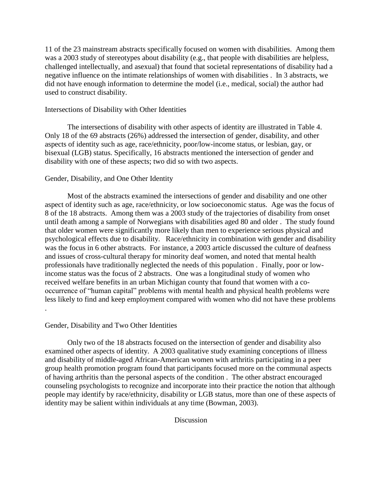11 of the 23 mainstream abstracts specifically focused on women with disabilities. Among them was a 2003 study of stereotypes about disability (e.g., that people with disabilities are helpless, challenged intellectually, and asexual) that found that societal representations of disability had a negative influence on the intimate relationships of women with disabilities . In 3 abstracts, we did not have enough information to determine the model (i.e., medical, social) the author had used to construct disability.

## Intersections of Disability with Other Identities

The intersections of disability with other aspects of identity are illustrated in Table 4. Only 18 of the 69 abstracts (26%) addressed the intersection of gender, disability, and other aspects of identity such as age, race/ethnicity, poor/low-income status, or lesbian, gay, or bisexual (LGB) status. Specifically, 16 abstracts mentioned the intersection of gender and disability with one of these aspects; two did so with two aspects.

### Gender, Disability, and One Other Identity

Most of the abstracts examined the intersections of gender and disability and one other aspect of identity such as age, race/ethnicity, or low socioeconomic status. Age was the focus of 8 of the 18 abstracts. Among them was a 2003 study of the trajectories of disability from onset until death among a sample of Norwegians with disabilities aged 80 and older . The study found that older women were significantly more likely than men to experience serious physical and psychological effects due to disability. Race/ethnicity in combination with gender and disability was the focus in 6 other abstracts. For instance, a 2003 article discussed the culture of deafness and issues of cross-cultural therapy for minority deaf women, and noted that mental health professionals have traditionally neglected the needs of this population . Finally, poor or lowincome status was the focus of 2 abstracts. One was a longitudinal study of women who received welfare benefits in an urban Michigan county that found that women with a cooccurrence of "human capital" problems with mental health and physical health problems were less likely to find and keep employment compared with women who did not have these problems .

### Gender, Disability and Two Other Identities

Only two of the 18 abstracts focused on the intersection of gender and disability also examined other aspects of identity. A 2003 qualitative study examining conceptions of illness and disability of middle-aged African-American women with arthritis participating in a peer group health promotion program found that participants focused more on the communal aspects of having arthritis than the personal aspects of the condition . The other abstract encouraged counseling psychologists to recognize and incorporate into their practice the notion that although people may identify by race/ethnicity, disability or LGB status, more than one of these aspects of identity may be salient within individuals at any time (Bowman, 2003).

Discussion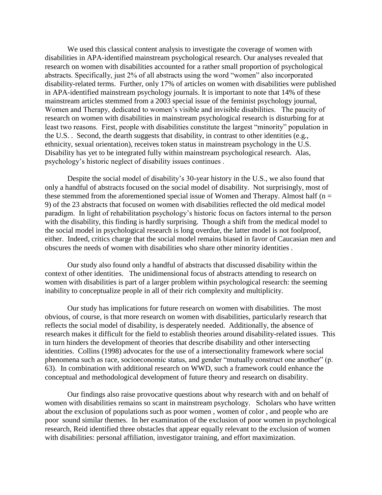We used this classical content analysis to investigate the coverage of women with disabilities in APA-identified mainstream psychological research. Our analyses revealed that research on women with disabilities accounted for a rather small proportion of psychological abstracts. Specifically, just 2% of all abstracts using the word "women" also incorporated disability-related terms. Further, only 17% of articles on women with disabilities were published in APA-identified mainstream psychology journals. It is important to note that 14% of these mainstream articles stemmed from a 2003 special issue of the feminist psychology journal, Women and Therapy, dedicated to women's visible and invisible disabilities. The paucity of research on women with disabilities in mainstream psychological research is disturbing for at least two reasons. First, people with disabilities constitute the largest "minority" population in the U.S. . Second, the dearth suggests that disability, in contrast to other identities (e.g., ethnicity, sexual orientation), receives token status in mainstream psychology in the U.S. Disability has yet to be integrated fully within mainstream psychological research. Alas, psychology's historic neglect of disability issues continues .

Despite the social model of disability's 30-year history in the U.S., we also found that only a handful of abstracts focused on the social model of disability. Not surprisingly, most of these stemmed from the aforementioned special issue of Women and Therapy. Almost half ( $n =$ 9) of the 23 abstracts that focused on women with disabilities reflected the old medical model paradigm. In light of rehabilitation psychology's historic focus on factors internal to the person with the disability, this finding is hardly surprising. Though a shift from the medical model to the social model in psychological research is long overdue, the latter model is not foolproof, either. Indeed, critics charge that the social model remains biased in favor of Caucasian men and obscures the needs of women with disabilities who share other minority identities .

Our study also found only a handful of abstracts that discussed disability within the context of other identities. The unidimensional focus of abstracts attending to research on women with disabilities is part of a larger problem within psychological research: the seeming inability to conceptualize people in all of their rich complexity and multiplicity.

Our study has implications for future research on women with disabilities. The most obvious, of course, is that more research on women with disabilities, particularly research that reflects the social model of disability, is desperately needed. Additionally, the absence of research makes it difficult for the field to establish theories around disability-related issues. This in turn hinders the development of theories that describe disability and other intersecting identities. Collins (1998) advocates for the use of a intersectionality framework where social phenomena such as race, socioeconomic status, and gender "mutually construct one another" (p. 63). In combination with additional research on WWD, such a framework could enhance the conceptual and methodological development of future theory and research on disability.

Our findings also raise provocative questions about why research with and on behalf of women with disabilities remains so scant in mainstream psychology. Scholars who have written about the exclusion of populations such as poor women , women of color , and people who are poor sound similar themes. In her examination of the exclusion of poor women in psychological research, Reid identified three obstacles that appear equally relevant to the exclusion of women with disabilities: personal affiliation, investigator training, and effort maximization.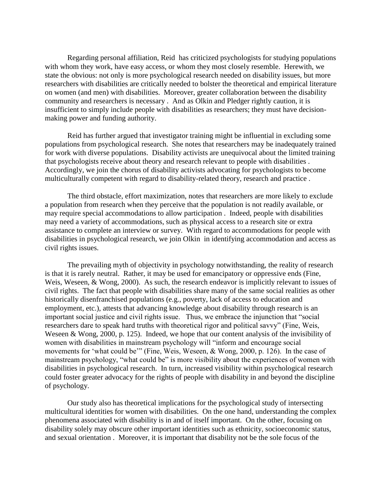Regarding personal affiliation, Reid has criticized psychologists for studying populations with whom they work, have easy access, or whom they most closely resemble. Herewith, we state the obvious: not only is more psychological research needed on disability issues, but more researchers with disabilities are critically needed to bolster the theoretical and empirical literature on women (and men) with disabilities. Moreover, greater collaboration between the disability community and researchers is necessary . And as Olkin and Pledger rightly caution, it is insufficient to simply include people with disabilities as researchers; they must have decisionmaking power and funding authority.

Reid has further argued that investigator training might be influential in excluding some populations from psychological research. She notes that researchers may be inadequately trained for work with diverse populations. Disability activists are unequivocal about the limited training that psychologists receive about theory and research relevant to people with disabilities . Accordingly, we join the chorus of disability activists advocating for psychologists to become multiculturally competent with regard to disability-related theory, research and practice .

The third obstacle, effort maximization, notes that researchers are more likely to exclude a population from research when they perceive that the population is not readily available, or may require special accommodations to allow participation . Indeed, people with disabilities may need a variety of accommodations, such as physical access to a research site or extra assistance to complete an interview or survey. With regard to accommodations for people with disabilities in psychological research, we join Olkin in identifying accommodation and access as civil rights issues.

The prevailing myth of objectivity in psychology notwithstanding, the reality of research is that it is rarely neutral. Rather, it may be used for emancipatory or oppressive ends (Fine, Weis, Weseen, & Wong, 2000). As such, the research endeavor is implicitly relevant to issues of civil rights. The fact that people with disabilities share many of the same social realities as other historically disenfranchised populations (e.g., poverty, lack of access to education and employment, etc.), attests that advancing knowledge about disability through research is an important social justice and civil rights issue. Thus, we embrace the injunction that "social researchers dare to speak hard truths with theoretical rigor and political savvy" (Fine, Weis, Weseen & Wong, 2000, p. 125). Indeed, we hope that our content analysis of the invisibility of women with disabilities in mainstream psychology will "inform and encourage social movements for 'what could be'" (Fine, Weis, Weseen, & Wong, 2000, p. 126). In the case of mainstream psychology, "what could be" is more visibility about the experiences of women with disabilities in psychological research. In turn, increased visibility within psychological research could foster greater advocacy for the rights of people with disability in and beyond the discipline of psychology.

Our study also has theoretical implications for the psychological study of intersecting multicultural identities for women with disabilities. On the one hand, understanding the complex phenomena associated with disability is in and of itself important. On the other, focusing on disability solely may obscure other important identities such as ethnicity, socioeconomic status, and sexual orientation . Moreover, it is important that disability not be the sole focus of the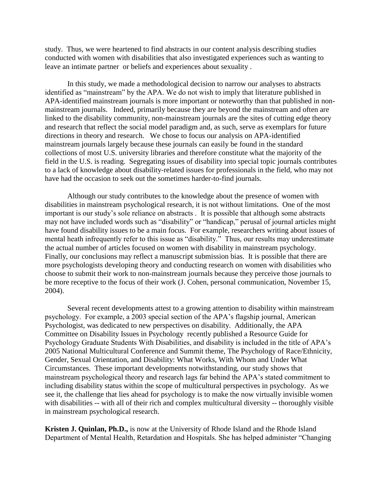study. Thus, we were heartened to find abstracts in our content analysis describing studies conducted with women with disabilities that also investigated experiences such as wanting to leave an intimate partner or beliefs and experiences about sexuality .

In this study, we made a methodological decision to narrow our analyses to abstracts identified as "mainstream" by the APA. We do not wish to imply that literature published in APA-identified mainstream journals is more important or noteworthy than that published in nonmainstream journals. Indeed, primarily because they are beyond the mainstream and often are linked to the disability community, non-mainstream journals are the sites of cutting edge theory and research that reflect the social model paradigm and, as such, serve as exemplars for future directions in theory and research. We chose to focus our analysis on APA-identified mainstream journals largely because these journals can easily be found in the standard collections of most U.S. university libraries and therefore constitute what the majority of the field in the U.S. is reading. Segregating issues of disability into special topic journals contributes to a lack of knowledge about disability-related issues for professionals in the field, who may not have had the occasion to seek out the sometimes harder-to-find journals.

Although our study contributes to the knowledge about the presence of women with disabilities in mainstream psychological research, it is not without limitations. One of the most important is our study's sole reliance on abstracts . It is possible that although some abstracts may not have included words such as "disability" or "handicap," perusal of journal articles might have found disability issues to be a main focus. For example, researchers writing about issues of mental heath infrequently refer to this issue as "disability." Thus, our results may underestimate the actual number of articles focused on women with disability in mainstream psychology. Finally, our conclusions may reflect a manuscript submission bias. It is possible that there are more psychologists developing theory and conducting research on women with disabilities who choose to submit their work to non-mainstream journals because they perceive those journals to be more receptive to the focus of their work (J. Cohen, personal communication, November 15, 2004).

Several recent developments attest to a growing attention to disability within mainstream psychology. For example, a 2003 special section of the APA's flagship journal, American Psychologist, was dedicated to new perspectives on disability. Additionally, the APA Committee on Disability Issues in Psychology recently published a Resource Guide for Psychology Graduate Students With Disabilities, and disability is included in the title of APA's 2005 National Multicultural Conference and Summit theme, The Psychology of Race/Ethnicity, Gender, Sexual Orientation, and Disability: What Works, With Whom and Under What Circumstances. These important developments notwithstanding, our study shows that mainstream psychological theory and research lags far behind the APA's stated commitment to including disability status within the scope of multicultural perspectives in psychology. As we see it, the challenge that lies ahead for psychology is to make the now virtually invisible women with disabilities -- with all of their rich and complex multicultural diversity -- thoroughly visible in mainstream psychological research.

**Kristen J. Quinlan, Ph.D.,** is now at the University of Rhode Island and the Rhode Island Department of Mental Health, Retardation and Hospitals. She has helped administer "Changing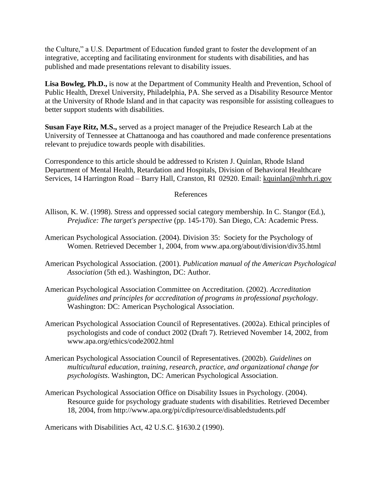the Culture," a U.S. Department of Education funded grant to foster the development of an integrative, accepting and facilitating environment for students with disabilities, and has published and made presentations relevant to disability issues.

**Lisa Bowleg, Ph.D.,** is now at the Department of Community Health and Prevention, School of Public Health, Drexel University, Philadelphia, PA. She served as a Disability Resource Mentor at the University of Rhode Island and in that capacity was responsible for assisting colleagues to better support students with disabilities.

**Susan Faye Ritz, M.S.,** served as a project manager of the Prejudice Research Lab at the University of Tennessee at Chattanooga and has coauthored and made conference presentations relevant to prejudice towards people with disabilities.

Correspondence to this article should be addressed to Kristen J. Quinlan, Rhode Island Department of Mental Health, Retardation and Hospitals, Division of Behavioral Healthcare Services, 14 Harrington Road – Barry Hall, Cranston, RI 02920. Email: [kquinlan@mhrh.ri.gov](mailto:kquinlan@mhrh.ri.gov)

# References

- Allison, K. W. (1998). Stress and oppressed social category membership. In C. Stangor (Ed.), *Prejudice: The target's perspective* (pp. 145-170). San Diego, CA: Academic Press.
- American Psychological Association. (2004). Division 35: Society for the Psychology of Women. Retrieved December 1, 2004, from www.apa.org/about/division/div35.html
- American Psychological Association. (2001). *Publication manual of the American Psychological Association* (5th ed.). Washington, DC: Author.
- American Psychological Association Committee on Accreditation. (2002). *Accreditation guidelines and principles for accreditation of programs in professional psychology*. Washington: DC: American Psychological Association.
- American Psychological Association Council of Representatives. (2002a). Ethical principles of psychologists and code of conduct 2002 (Draft 7). Retrieved November 14, 2002, from www.apa.org/ethics/code2002.html
- American Psychological Association Council of Representatives. (2002b). *Guidelines on multicultural education, training, research, practice, and organizational change for psychologists*. Washington, DC: American Psychological Association.
- American Psychological Association Office on Disability Issues in Psychology. (2004). Resource guide for psychology graduate students with disabilities. Retrieved December 18, 2004, from http://www.apa.org/pi/cdip/resource/disabledstudents.pdf

Americans with Disabilities Act, 42 U.S.C. §1630.2 (1990).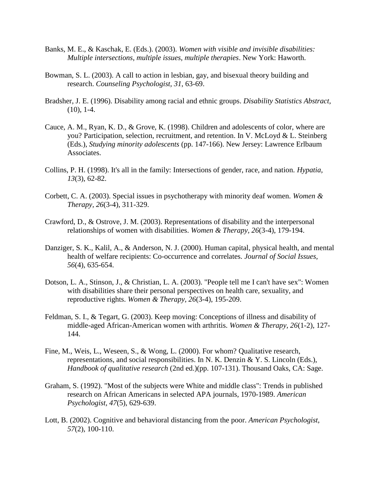- Banks, M. E., & Kaschak, E. (Eds.). (2003). *Women with visible and invisible disabilities: Multiple intersections, multiple issues, multiple therapies*. New York: Haworth.
- Bowman, S. L. (2003). A call to action in lesbian, gay, and bisexual theory building and research. *Counseling Psychologist, 31*, 63-69.
- Bradsher, J. E. (1996). Disability among racial and ethnic groups. *Disability Statistics Abstract,*   $(10), 1-4.$
- Cauce, A. M., Ryan, K. D., & Grove, K. (1998). Children and adolescents of color, where are you? Participation, selection, recruitment, and retention. In V. McLoyd & L. Steinberg (Eds.), *Studying minority adolescents* (pp. 147-166). New Jersey: Lawrence Erlbaum Associates.
- Collins, P. H. (1998). It's all in the family: Intersections of gender, race, and nation. *Hypatia, 13*(3), 62-82.
- Corbett, C. A. (2003). Special issues in psychotherapy with minority deaf women. *Women & Therapy, 26*(3-4), 311-329.
- Crawford, D., & Ostrove, J. M. (2003). Representations of disability and the interpersonal relationships of women with disabilities. *Women & Therapy, 26*(3-4), 179-194.
- Danziger, S. K., Kalil, A., & Anderson, N. J. (2000). Human capital, physical health, and mental health of welfare recipients: Co-occurrence and correlates. *Journal of Social Issues, 56*(4), 635-654.
- Dotson, L. A., Stinson, J., & Christian, L. A. (2003). "People tell me I can't have sex": Women with disabilities share their personal perspectives on health care, sexuality, and reproductive rights. *Women & Therapy, 26*(3-4), 195-209.
- Feldman, S. I., & Tegart, G. (2003). Keep moving: Conceptions of illness and disability of middle-aged African-American women with arthritis. *Women & Therapy, 26*(1-2), 127- 144.
- Fine, M., Weis, L., Weseen, S., & Wong, L. (2000). For whom? Qualitative research, representations, and social responsibilities. In N. K. Denzin & Y. S. Lincoln (Eds.), *Handbook of qualitative research* (2nd ed.)(pp. 107-131). Thousand Oaks, CA: Sage.
- Graham, S. (1992). "Most of the subjects were White and middle class": Trends in published research on African Americans in selected APA journals, 1970-1989. *American Psychologist, 47*(5), 629-639.
- Lott, B. (2002). Cognitive and behavioral distancing from the poor. *American Psychologist, 57*(2), 100-110.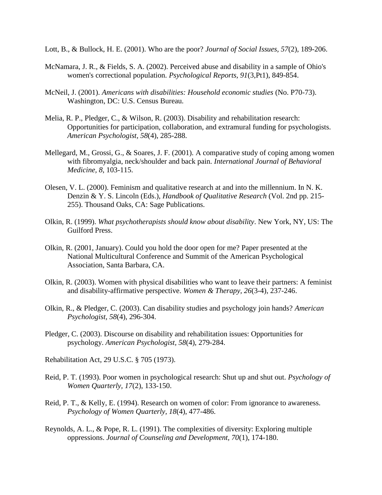Lott, B., & Bullock, H. E. (2001). Who are the poor? *Journal of Social Issues, 57*(2), 189-206.

- McNamara, J. R., & Fields, S. A. (2002). Perceived abuse and disability in a sample of Ohio's women's correctional population. *Psychological Reports, 91*(3,Pt1), 849-854.
- McNeil, J. (2001). *Americans with disabilities: Household economic studies* (No. P70-73). Washington, DC: U.S. Census Bureau.
- Melia, R. P., Pledger, C., & Wilson, R. (2003). Disability and rehabilitation research: Opportunities for participation, collaboration, and extramural funding for psychologists. *American Psychologist, 58*(4), 285-288.
- Mellegard, M., Grossi, G., & Soares, J. F. (2001). A comparative study of coping among women with fibromyalgia, neck/shoulder and back pain. *International Journal of Behavioral Medicine, 8*, 103-115.
- Olesen, V. L. (2000). Feminism and qualitative research at and into the millennium. In N. K. Denzin & Y. S. Lincoln (Eds.), *Handbook of Qualitative Research* (Vol. 2nd pp. 215- 255). Thousand Oaks, CA: Sage Publications.
- Olkin, R. (1999). *What psychotherapists should know about disability*. New York, NY, US: The Guilford Press.
- Olkin, R. (2001, January). Could you hold the door open for me? Paper presented at the National Multicultural Conference and Summit of the American Psychological Association, Santa Barbara, CA.
- Olkin, R. (2003). Women with physical disabilities who want to leave their partners: A feminist and disability-affirmative perspective. *Women & Therapy, 26*(3-4), 237-246.
- Olkin, R., & Pledger, C. (2003). Can disability studies and psychology join hands? *American Psychologist, 58*(4), 296-304.
- Pledger, C. (2003). Discourse on disability and rehabilitation issues: Opportunities for psychology. *American Psychologist, 58*(4), 279-284.

Rehabilitation Act, 29 U.S.C. § 705 (1973).

- Reid, P. T. (1993). Poor women in psychological research: Shut up and shut out. *Psychology of Women Quarterly, 17*(2), 133-150.
- Reid, P. T., & Kelly, E. (1994). Research on women of color: From ignorance to awareness. *Psychology of Women Quarterly, 18*(4), 477-486.
- Reynolds, A. L., & Pope, R. L. (1991). The complexities of diversity: Exploring multiple oppressions. *Journal of Counseling and Development, 70*(1), 174-180.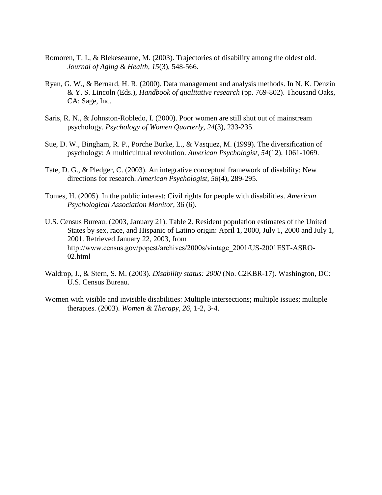- Romoren, T. I., & Blekeseaune, M. (2003). Trajectories of disability among the oldest old. *Journal of Aging & Health, 15*(3), 548-566.
- Ryan, G. W., & Bernard, H. R. (2000). Data management and analysis methods. In N. K. Denzin & Y. S. Lincoln (Eds.), *Handbook of qualitative research* (pp. 769-802). Thousand Oaks, CA: Sage, Inc.
- Saris, R. N., & Johnston-Robledo, I. (2000). Poor women are still shut out of mainstream psychology. *Psychology of Women Quarterly, 24*(3), 233-235.
- Sue, D. W., Bingham, R. P., Porche Burke, L., & Vasquez, M. (1999). The diversification of psychology: A multicultural revolution. *American Psychologist, 54*(12), 1061-1069.
- Tate, D. G., & Pledger, C. (2003). An integrative conceptual framework of disability: New directions for research. *American Psychologist, 58*(4), 289-295.
- Tomes, H. (2005). In the public interest: Civil rights for people with disabilities. *American Psychological Association Monitor*, 36 (6).
- U.S. Census Bureau. (2003, January 21). Table 2. Resident population estimates of the United States by sex, race, and Hispanic of Latino origin: April 1, 2000, July 1, 2000 and July 1, 2001. Retrieved January 22, 2003, from http://www.census.gov/popest/archives/2000s/vintage\_2001/US-2001EST-ASRO-02.html
- Waldrop, J., & Stern, S. M. (2003). *Disability status: 2000* (No. C2KBR-17). Washington, DC: U.S. Census Bureau.
- Women with visible and invisible disabilities: Multiple intersections; multiple issues; multiple therapies. (2003). *Women & Therapy, 26*, 1-2, 3-4.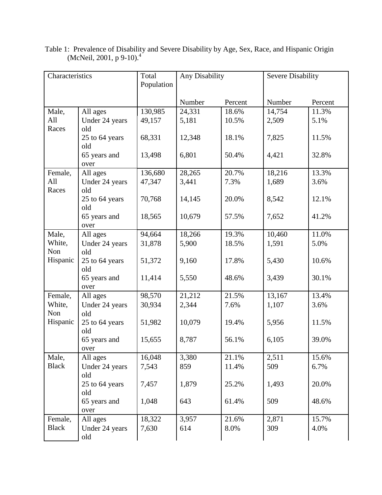| Characteristics |                       | Total      | Any Disability |         | <b>Severe Disability</b> |         |
|-----------------|-----------------------|------------|----------------|---------|--------------------------|---------|
|                 |                       | Population |                |         |                          |         |
|                 |                       |            |                |         |                          |         |
|                 |                       |            | Number         | Percent | Number                   | Percent |
| Male,           | All ages              | 130,985    | 24,331         | 18.6%   | 14,754                   | 11.3%   |
| All             | Under 24 years        | 49,157     | 5,181          | 10.5%   | 2,509                    | 5.1%    |
| Races           | old                   |            |                |         |                          |         |
|                 | 25 to 64 years<br>old | 68,331     | 12,348         | 18.1%   | 7,825                    | 11.5%   |
|                 | 65 years and          | 13,498     | 6,801          | 50.4%   | 4,421                    | 32.8%   |
|                 | over                  |            |                |         |                          |         |
| Female,         | All ages              | 136,680    | 28,265         | 20.7%   | 18,216                   | 13.3%   |
| All             | Under 24 years        | 47,347     | 3,441          | 7.3%    | 1,689                    | 3.6%    |
| Races           | old                   |            |                |         |                          |         |
|                 | 25 to 64 years        | 70,768     | 14,145         | 20.0%   | 8,542                    | 12.1%   |
|                 | old                   | 18,565     | 10,679         | 57.5%   |                          |         |
|                 | 65 years and<br>over  |            |                |         | 7,652                    | 41.2%   |
| Male,           | All ages              | 94,664     | 18,266         | 19.3%   | 10,460                   | 11.0%   |
| White,          | Under 24 years        | 31,878     | 5,900          | 18.5%   | 1,591                    | 5.0%    |
| Non             | old                   |            |                |         |                          |         |
| Hispanic        | 25 to 64 years<br>old | 51,372     | 9,160          | 17.8%   | 5,430                    | 10.6%   |
|                 | 65 years and          | 11,414     | 5,550          | 48.6%   | 3,439                    | 30.1%   |
|                 | over                  |            |                |         |                          |         |
| Female,         | All ages              | 98,570     | 21,212         | 21.5%   | 13,167                   | 13.4%   |
| White,          | Under 24 years        | 30,934     | 2,344          | 7.6%    | 1,107                    | 3.6%    |
| Non             | old                   |            |                |         |                          |         |
| Hispanic        | 25 to 64 years        | 51,982     | 10,079         | 19.4%   | 5,956                    | 11.5%   |
|                 | old                   |            |                |         |                          |         |
|                 | 65 years and          | 15,655     | 8,787          | 56.1%   | 6,105                    | 39.0%   |
|                 | over                  |            |                |         |                          |         |
| Male,           | All ages              | 16,048     | 3,380          | 21.1%   | 2,511                    | 15.6%   |
| <b>Black</b>    | Under 24 years        | 7,543      | 859            | 11.4%   | 509                      | 6.7%    |
|                 | old                   |            |                |         |                          |         |
|                 | 25 to 64 years        | 7,457      | 1,879          | 25.2%   | 1,493                    | 20.0%   |
|                 | old                   |            |                |         |                          |         |
|                 | 65 years and          | 1,048      | 643            | 61.4%   | 509                      | 48.6%   |
|                 | over                  |            |                |         |                          |         |
| Female,         | All ages              | 18,322     | 3,957          | 21.6%   | 2,871                    | 15.7%   |
| <b>Black</b>    | Under 24 years        | 7,630      | 614            | 8.0%    | 309                      | 4.0%    |
|                 | old                   |            |                |         |                          |         |

<span id="page-13-0"></span>Table 1: Prevalence of Disability and Severe Disability by Age, Sex, Race, and Hispanic Origin (McNeil, 2001, p 9-10).<sup>4</sup>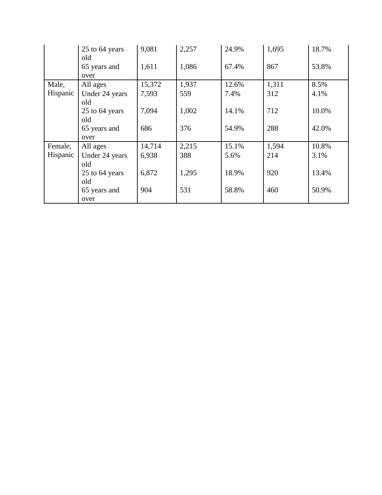|          | 25 to 64 years | 9,081  | 2,257 | 24.9% | 1,695 | 18.7% |
|----------|----------------|--------|-------|-------|-------|-------|
|          | old            |        |       |       |       |       |
|          | 65 years and   | 1,611  | 1,086 | 67.4% | 867   | 53.8% |
|          | over           |        |       |       |       |       |
| Male,    | All ages       | 15,372 | 1,937 | 12.6% | 1,311 | 8.5%  |
| Hispanic | Under 24 years | 7,593  | 559   | 7.4%  | 312   | 4.1%  |
|          | old            |        |       |       |       |       |
|          | 25 to 64 years | 7,094  | 1,002 | 14.1% | 712   | 10.0% |
|          | old            |        |       |       |       |       |
|          | 65 years and   | 686    | 376   | 54.9% | 288   | 42.0% |
|          | over           |        |       |       |       |       |
| Female,  | All ages       | 14,714 | 2,215 | 15.1% | 1,594 | 10.8% |
| Hispanic | Under 24 years | 6,938  | 388   | 5.6%  | 214   | 3.1%  |
|          | old            |        |       |       |       |       |
|          | 25 to 64 years | 6,872  | 1,295 | 18.9% | 920   | 13.4% |
|          | old            |        |       |       |       |       |
|          | 65 years and   | 904    | 531   | 58.8% | 460   | 50.9% |
|          | over           |        |       |       |       |       |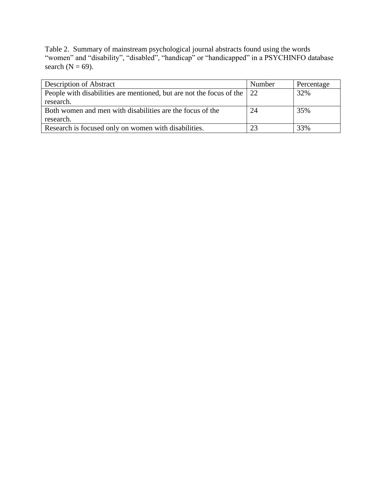<span id="page-15-0"></span>Table 2. Summary of mainstream psychological journal abstracts found using the words "women" and "disability", "disabled", "handicap" or "handicapped" in a PSYCHINFO database search  $(N = 69)$ .

| <b>Description of Abstract</b>                                                  | Number | Percentage |
|---------------------------------------------------------------------------------|--------|------------|
| People with disabilities are mentioned, but are not the focus of the $\vert$ 22 |        | 32%        |
| research.                                                                       |        |            |
| Both women and men with disabilities are the focus of the                       | 24     | 35%        |
| research.                                                                       |        |            |
| Research is focused only on women with disabilities.                            |        | 33%        |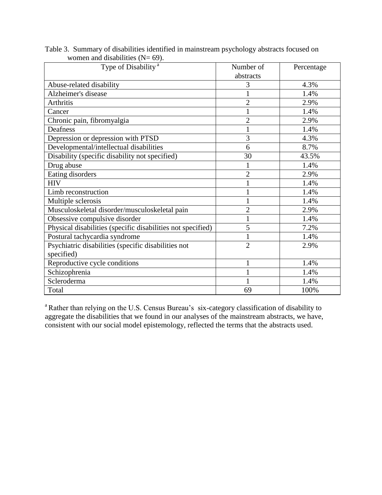| Type of Disability <sup>a</sup>                             | Number of<br>abstracts | Percentage |
|-------------------------------------------------------------|------------------------|------------|
| Abuse-related disability                                    | 3                      | 4.3%       |
| Alzheimer's disease                                         |                        | 1.4%       |
| <b>Arthritis</b>                                            | $\overline{2}$         | 2.9%       |
| Cancer                                                      |                        | 1.4%       |
| Chronic pain, fibromyalgia                                  | $\overline{2}$         | 2.9%       |
| Deafness                                                    |                        | 1.4%       |
| Depression or depression with PTSD                          | 3                      | 4.3%       |
| Developmental/intellectual disabilities                     | 6                      | 8.7%       |
| Disability (specific disability not specified)              | 30                     | 43.5%      |
| Drug abuse                                                  |                        | 1.4%       |
| Eating disorders                                            | $\overline{2}$         | 2.9%       |
| <b>HIV</b>                                                  |                        | 1.4%       |
| Limb reconstruction                                         |                        | 1.4%       |
| Multiple sclerosis                                          |                        | 1.4%       |
| Musculoskeletal disorder/musculoskeletal pain               | $\overline{2}$         | 2.9%       |
| Obsessive compulsive disorder                               |                        | 1.4%       |
| Physical disabilities (specific disabilities not specified) | 5                      | 7.2%       |
| Postural tachycardia syndrome                               |                        | 1.4%       |
| Psychiatric disabilities (specific disabilities not         | $\overline{2}$         | 2.9%       |
| specified)                                                  |                        |            |
| Reproductive cycle conditions                               | 1                      | 1.4%       |
| Schizophrenia                                               |                        | 1.4%       |
| Scleroderma                                                 |                        | 1.4%       |
| Total                                                       | 69                     | 100%       |

<span id="page-16-0"></span>Table 3. Summary of disabilities identified in mainstream psychology abstracts focused on women and disabilities  $(N= 69)$ .

<sup>a</sup> Rather than relying on the U.S. Census Bureau's six-category classification of disability to aggregate the disabilities that we found in our analyses of the mainstream abstracts, we have, consistent with our social model epistemology, reflected the terms that the abstracts used.